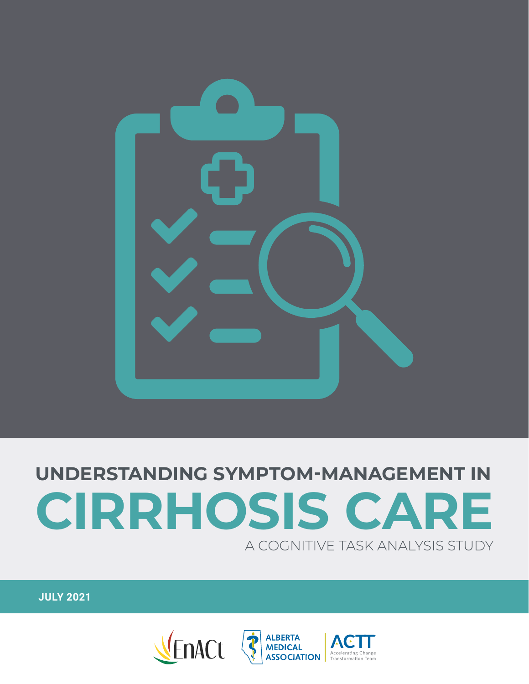

## **UNDERSTANDING SYMPTOM-MANAGEMENT IN CIRRHOSIS CARE** A COGNITIVE TASK ANALYSIS STUDY

**JULY 2021**

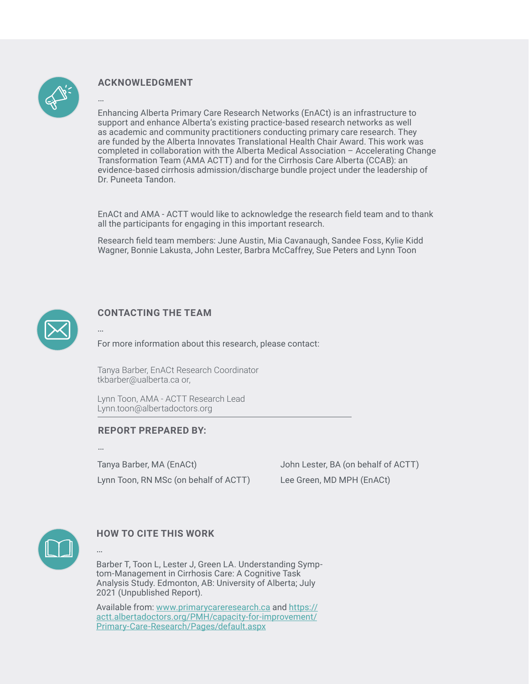

…

### **ACKNOWLEDGMENT**

Enhancing Alberta Primary Care Research Networks (EnACt) is an infrastructure to support and enhance Alberta's existing practice-based research networks as well as academic and community practitioners conducting primary care research. They are funded by the Alberta Innovates Translational Health Chair Award. This work was completed in collaboration with the Alberta Medical Association – Accelerating Change Transformation Team (AMA ACTT) and for the Cirrhosis Care Alberta (CCAB): an evidence-based cirrhosis admission/discharge bundle project under the leadership of Dr. Puneeta Tandon.

EnACt and AMA - ACTT would like to acknowledge the research field team and to thank all the participants for engaging in this important research.

Research field team members: June Austin, Mia Cavanaugh, Sandee Foss, Kylie Kidd Wagner, Bonnie Lakusta, John Lester, Barbra McCaffrey, Sue Peters and Lynn Toon



#### **CONTACTING THE TEAM**

For more information about this research, please contact:

Tanya Barber, EnACt Research Coordinator [tkbarber@ualberta.ca](mailto:tkbarber@ualberta.ca) or,

Lynn Toon, AMA - ACTT Research Lead [Lynn.toon@albertadoctors.org](mailto:Lynn.toon@albertadoctors.org)

#### **REPORT PREPARED BY:**

…

…

…

Tanya Barber, MA (EnACt) Lynn Toon, RN MSc (on behalf of ACTT) John Lester, BA (on behalf of ACTT) Lee Green, MD MPH (EnACt)



#### **HOW TO CITE THIS WORK**

Barber T, Toon L, Lester J, Green LA. Understanding Symptom-Management in Cirrhosis Care: A Cognitive Task Analysis Study. Edmonton, AB: University of Alberta; July 2021 (Unpublished Report).

Available from: [www.primarycareresearch.ca](http://www.primarycareresearch.ca) and [https://](https://actt.albertadoctors.org/PMH/capacity-for-improvement/Primary-Care-Research/Pages/default.aspx) [actt.albertadoctors.org/PMH/capacity-for-improvement/](https://actt.albertadoctors.org/PMH/capacity-for-improvement/Primary-Care-Research/Pages/default.aspx) [Primary-Care-Research/Pages/default.aspx](https://actt.albertadoctors.org/PMH/capacity-for-improvement/Primary-Care-Research/Pages/default.aspx)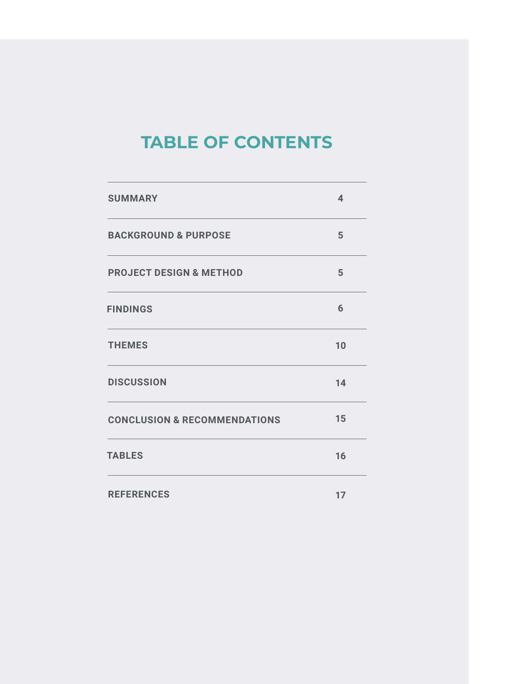## **TABLE OF CONTENTS**

| <b>SUMMARY</b>                          | $\overline{\mathbf{4}}$ |
|-----------------------------------------|-------------------------|
| <b>BACKGROUND &amp; PURPOSE</b>         | 5                       |
| <b>PROJECT DESIGN &amp; METHOD</b>      | 5                       |
| <b>FINDINGS</b>                         | 6                       |
| <b>THEMES</b>                           | 10                      |
| <b>DISCUSSION</b>                       | 14                      |
| <b>CONCLUSION &amp; RECOMMENDATIONS</b> | 15                      |
| <b>TABLES</b>                           | 16                      |
| <b>REFERENCES</b>                       | 17                      |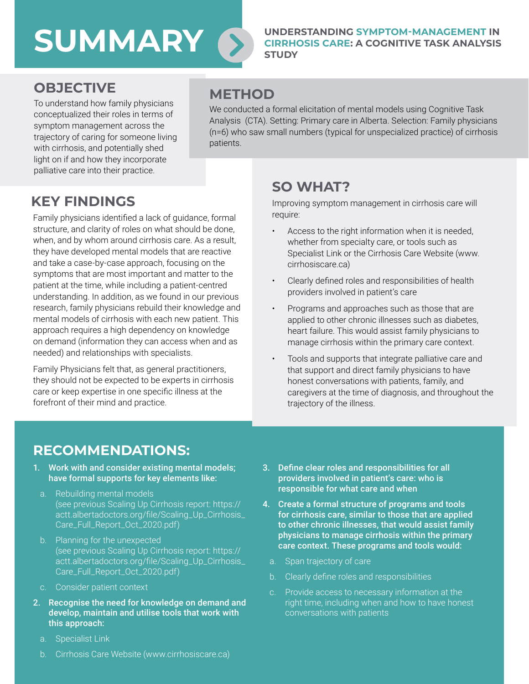## **SUMMARY**

#### **UNDERSTANDING SYMPTOM-MANAGEMENT IN CIRRHOSIS CARE: A COGNITIVE TASK ANALYSIS STUDY**

### **OBJECTIVE**

To understand how family physicians conceptualized their roles in terms of symptom management across the trajectory of caring for someone living with cirrhosis, and potentially shed light on if and how they incorporate palliative care into their practice.

### **METHOD**

We conducted a formal elicitation of mental models using Cognitive Task Analysis (CTA). Setting: Primary care in Alberta. Selection: Family physicians (n=6) who saw small numbers (typical for unspecialized practice) of cirrhosis patients.

### **KEY FINDINGS**

Family physicians identified a lack of guidance, formal structure, and clarity of roles on what should be done, when, and by whom around cirrhosis care. As a result, they have developed mental models that are reactive and take a case-by-case approach, focusing on the symptoms that are most important and matter to the patient at the time, while including a patient-centred understanding. In addition, as we found in our previous research, family physicians rebuild their knowledge and mental models of cirrhosis with each new patient. This approach requires a high dependency on knowledge on demand (information they can access when and as needed) and relationships with specialists.

Family Physicians felt that, as general practitioners, they should not be expected to be experts in cirrhosis care or keep expertise in one specific illness at the forefront of their mind and practice.

### **SO WHAT?**

Improving symptom management in cirrhosis care will require:

- Access to the right information when it is needed, whether from specialty care, or tools such as Specialist Link or the Cirrhosis Care Website [\(www.](http://www.cirrhosiscare.ca) [cirrhosiscare.ca](http://www.cirrhosiscare.ca))
- Clearly defined roles and responsibilities of health providers involved in patient's care
- Programs and approaches such as those that are applied to other chronic illnesses such as diabetes, heart failure. This would assist family physicians to manage cirrhosis within the primary care context.
- Tools and supports that integrate palliative care and that support and direct family physicians to have honest conversations with patients, family, and caregivers at the time of diagnosis, and throughout the trajectory of the illness.

### **RECOMMENDATIONS:**

- 1. Work with and consider existing mental models; have formal supports for key elements like:
- a. Rebuilding mental models (see previous Scaling Up Cirrhosis report: [https://](https://actt.albertadoctors.org/file/Scaling_Up_Cirrhosis_Care_Full_Report_Oct_2020.pdf) [actt.albertadoctors.org/file/Scaling\\_Up\\_Cirrhosis\\_](https://actt.albertadoctors.org/file/Scaling_Up_Cirrhosis_Care_Full_Report_Oct_2020.pdf) [Care\\_Full\\_Report\\_Oct\\_2020.pdf\)](https://actt.albertadoctors.org/file/Scaling_Up_Cirrhosis_Care_Full_Report_Oct_2020.pdf)
- b. Planning for the unexpected (see previous Scaling Up Cirrhosis report: [https://](https://actt.albertadoctors.org/file/Scaling_Up_Cirrhosis_Care_Full_Report_Oct_2020.pdf) [actt.albertadoctors.org/file/Scaling\\_Up\\_Cirrhosis\\_](https://actt.albertadoctors.org/file/Scaling_Up_Cirrhosis_Care_Full_Report_Oct_2020.pdf) [Care\\_Full\\_Report\\_Oct\\_2020.pdf\)](https://actt.albertadoctors.org/file/Scaling_Up_Cirrhosis_Care_Full_Report_Oct_2020.pdf)
- c. Consider patient context
- 2. Recognise the need for knowledge on demand and develop, maintain and utilise tools that work with this approach:
	- a. Specialist Link
	- b. Cirrhosis Care Website [\(www.cirrhosiscare.ca\)](http://www.cirrhosiscare.ca)
- 3. Define clear roles and responsibilities for all providers involved in patient's care: who is responsible for what care and when
- 4. Create a formal structure of programs and tools for cirrhosis care, similar to those that are applied to other chronic illnesses, that would assist family physicians to manage cirrhosis within the primary care context. These programs and tools would:
	- a. Span trajectory of care
	- b. Clearly define roles and responsibilities
	- c. Provide access to necessary information at the right time, including when and how to have honest conversations with patients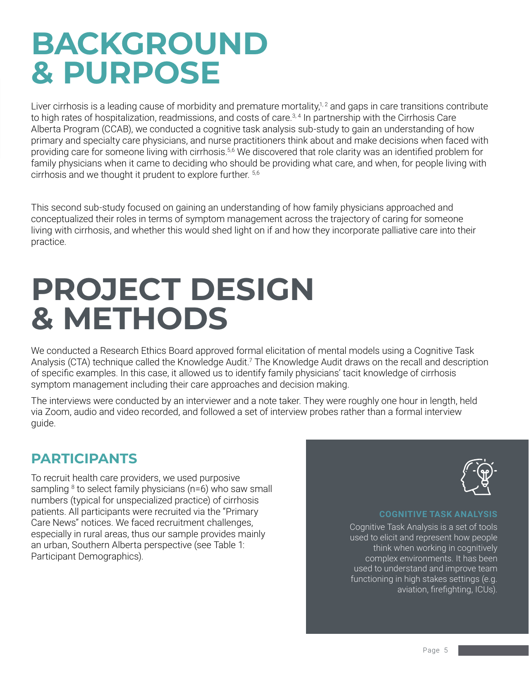## **BACKGROUND & PURPOSE**

Liver cirrhosis is a leading cause of morbidity and premature mortality, $1/2$  and gaps in care transitions contribute to high rates of hospitalization, readmissions, and costs of care.<sup>3, 4</sup> In partnership with the Cirrhosis Care Alberta Program (CCAB), we conducted a cognitive task analysis sub-study to gain an understanding of how primary and specialty care physicians, and nurse practitioners think about and make decisions when faced with providing care for someone living with cirrhosis.<sup>5,6</sup> We discovered that role clarity was an identified problem for family physicians when it came to deciding who should be providing what care, and when, for people living with cirrhosis and we thought it prudent to explore further. 5,6

This second sub-study focused on gaining an understanding of how family physicians approached and conceptualized their roles in terms of symptom management across the trajectory of caring for someone living with cirrhosis, and whether this would shed light on if and how they incorporate palliative care into their practice.

## **PROJECT DESIGN & METHODS**

We conducted a Research Ethics Board approved formal elicitation of mental models using a Cognitive Task Analysis (CTA) technique called the Knowledge Audit.<sup>7</sup> The Knowledge Audit draws on the recall and description of specific examples. In this case, it allowed us to identify family physicians' tacit knowledge of cirrhosis symptom management including their care approaches and decision making.

The interviews were conducted by an interviewer and a note taker. They were roughly one hour in length, held via Zoom, audio and video recorded, and followed a set of interview probes rather than a formal interview guide.

### **PARTICIPANTS**

To recruit health care providers, we used purposive sampling <sup>8</sup> to select family physicians (n=6) who saw small numbers (typical for unspecialized practice) of cirrhosis patients. All participants were recruited via the "Primary Care News" notices. We faced recruitment challenges, especially in rural areas, thus our sample provides mainly an urban, Southern Alberta perspective (see Table 1: Participant Demographics).



#### **COGNITIVE TASK ANALYSIS**

Cognitive Task Analysis is a set of tools used to elicit and represent how people think when working in cognitively complex environments. It has been used to understand and improve team functioning in high stakes settings (e.g. aviation, firefighting, ICUs).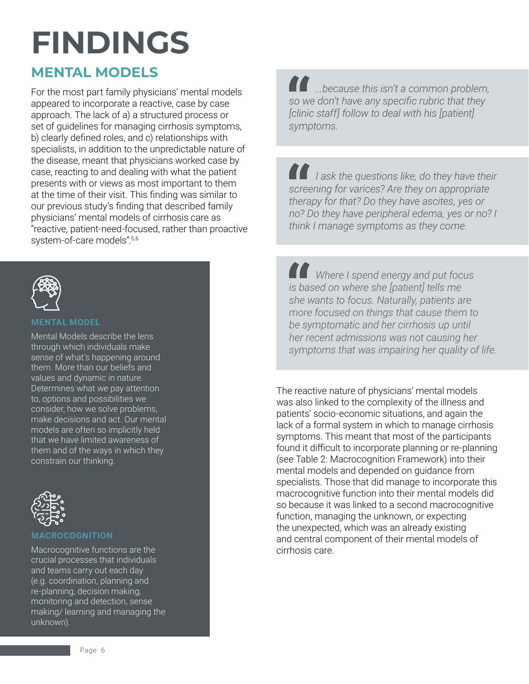## **FINDINGS**

### **MENTAL MODELS**

For the most part family physicians' mental models appeared to incorporate a reactive, case by case approach. The lack of a) a structured process or set of guidelines for managing cirrhosis symptoms, b) clearly defined roles, and c) relationships with specialists, in addition to the unpredictable nature of the disease, meant that physicians worked case by case, reacting to and dealing with what the patient presents with or views as most important to them at the time of their visit. This finding was similar to our previous study's finding that described family physicians' mental models of cirrhosis care as "reactive, patient-need-focused, rather than proactive system-of-care models".5,6



#### **MENTAL MODEL**

Mental Models describe the lens through which individuals make sense of what's happening around them. More than our beliefs and values and dynamic in nature. Determines what we pay attention to, options and possibilities we consider, how we solve problems, make decisions and act. Our mental models are often so implicitly held that we have limited awareness of them and of the ways in which they constrain our thinking.



#### **MACROCOGNITION**

Macrocognitive functions are the crucial processes that individuals and teams carry out each day (e.g. coordination, planning and re-planning, decision making, monitoring and detection, sense making/ learning and managing the unknown).

*...because this isn't a common problem, so we don't have any specific rubric that they [clinic staff] follow to deal with his [patient] symptoms.* 

*I ask the questions like, do they have their screening for varices? Are they on appropriate therapy for that? Do they have ascites, yes or no? Do they have peripheral edema, yes or no? I think I manage symptoms as they come.*

*Where I spend energy and put focus is based on where she [patient] tells me she wants to focus. Naturally, patients are more focused on things that cause them to be symptomatic and her cirrhosis up until her recent admissions was not causing her symptoms that was impairing her quality of life.*

The reactive nature of physicians' mental models was also linked to the complexity of the illness and patients' socio-economic situations, and again the lack of a formal system in which to manage cirrhosis symptoms. This meant that most of the participants found it difficult to incorporate planning or re-planning (see Table 2: Macrocognition Framework) into their mental models and depended on guidance from specialists. Those that did manage to incorporate this macrocognitive function into their mental models did so because it was linked to a second macrocognitive function, managing the unknown, or expecting the unexpected, which was an already existing and central component of their mental models of cirrhosis care.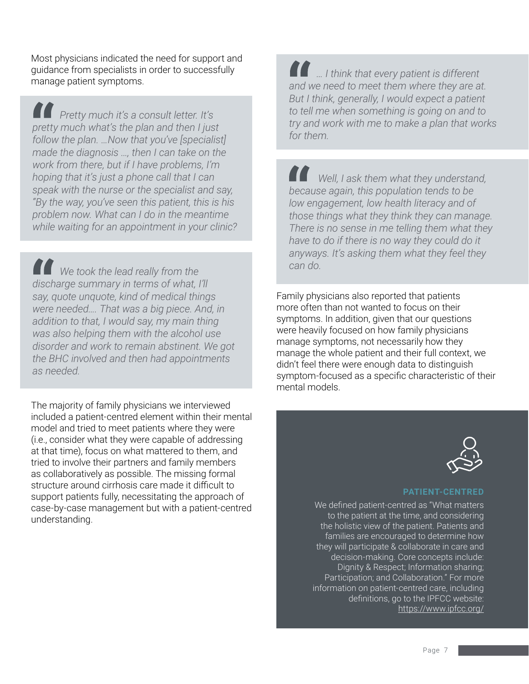Most physicians indicated the need for support and guidance from specialists in order to successfully manage patient symptoms.

*Pretty much it's a consult letter. It's pretty much what's the plan and then I just follow the plan. …Now that you've [specialist] made the diagnosis …, then I can take on the work from there, but if I have problems, I'm hoping that it's just a phone call that I can speak with the nurse or the specialist and say, "By the way, you've seen this patient, this is his problem now. What can I do in the meantime while waiting for an appointment in your clinic?*

*can do.* We took the lead really from the *can do. discharge summary in terms of what, I'll say, quote unquote, kind of medical things were needed…. That was a big piece. And, in addition to that, I would say, my main thing was also helping them with the alcohol use disorder and work to remain abstinent. We got the BHC involved and then had appointments as needed.* 

The majority of family physicians we interviewed included a patient-centred element within their mental model and tried to meet patients where they were (i.e., consider what they were capable of addressing at that time), focus on what mattered to them, and tried to involve their partners and family members as collaboratively as possible. The missing formal structure around cirrhosis care made it difficult to support patients fully, necessitating the approach of case-by-case management but with a patient-centred understanding.

*… I think that every patient is different and we need to meet them where they are at. But I think, generally, I would expect a patient to tell me when something is going on and to try and work with me to make a plan that works for them.*

 *Well, I ask them what they understand, because again, this population tends to be low engagement, low health literacy and of those things what they think they can manage. There is no sense in me telling them what they have to do if there is no way they could do it anyways. It's asking them what they feel they* 

Family physicians also reported that patients more often than not wanted to focus on their symptoms. In addition, given that our questions were heavily focused on how family physicians manage symptoms, not necessarily how they manage the whole patient and their full context, we didn't feel there were enough data to distinguish symptom-focused as a specific characteristic of their mental models.



#### **PATIENT-CENTRED**

We defined patient-centred as "What matters to the patient at the time, and considering the holistic view of the patient. Patients and families are encouraged to determine how they will participate & collaborate in care and decision-making. Core concepts include: Dignity & Respect; Information sharing; Participation; and Collaboration." For more information on patient-centred care, including definitions, go to the IPFCC website: <https://www.ipfcc.org/>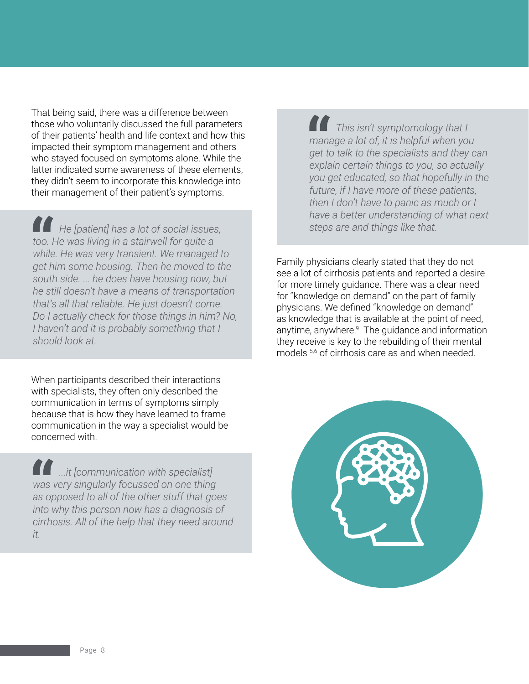That being said, there was a difference between those who voluntarily discussed the full parameters of their patients' health and life context and how this impacted their symptom management and others who stayed focused on symptoms alone. While the latter indicated some awareness of these elements, they didn't seem to incorporate this knowledge into their management of their patient's symptoms.

*He [patient] has a lot of social issues, too. He was living in a stairwell for quite a while. He was very transient. We managed to get him some housing. Then he moved to the south side. ... he does have housing now, but he still doesn't have a means of transportation that's all that reliable. He just doesn't come. Do I actually check for those things in him? No, I haven't and it is probably something that I should look at.*

When participants described their interactions with specialists, they often only described the communication in terms of symptoms simply because that is how they have learned to frame communication in the way a specialist would be concerned with.

*...it [communication with specialist] was very singularly focussed on one thing as opposed to all of the other stuff that goes into why this person now has a diagnosis of cirrhosis. All of the help that they need around it.* 

*This isn't symptomology that I manage a lot of, it is helpful when you get to talk to the specialists and they can explain certain things to you, so actually you get educated, so that hopefully in the future, if I have more of these patients, then I don't have to panic as much or I have a better understanding of what next steps are and things like that.* 

Family physicians clearly stated that they do not see a lot of cirrhosis patients and reported a desire for more timely guidance. There was a clear need for "knowledge on demand" on the part of family physicians. We defined "knowledge on demand" as knowledge that is available at the point of need, anytime, anywhere.<sup>9</sup> The guidance and information they receive is key to the rebuilding of their mental models <sup>5,6</sup> of cirrhosis care as and when needed.

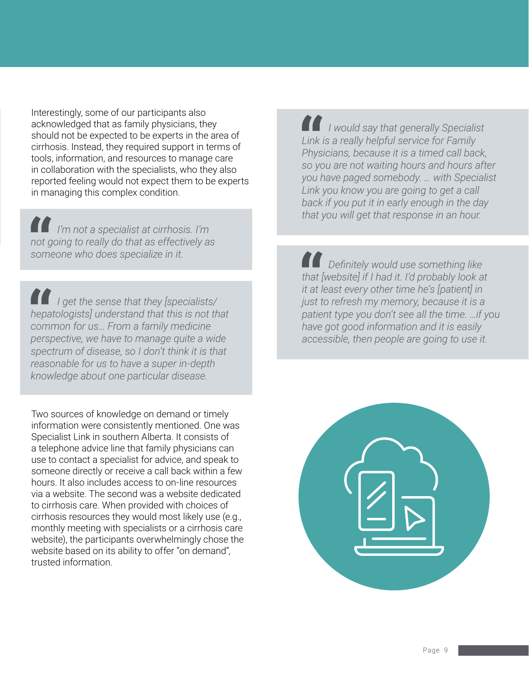Interestingly, some of our participants also acknowledged that as family physicians, they should not be expected to be experts in the area of cirrhosis. Instead, they required support in terms of tools, information, and resources to manage care in collaboration with the specialists, who they also reported feeling would not expect them to be experts in managing this complex condition.

*I'm not a specialist at cirrhosis. I'm not going to really do that as effectively as someone who does specialize in it.*

*I get the sense that they [specialists/ hepatologists] understand that this is not that common for us… From a family medicine perspective, we have to manage quite a wide spectrum of disease, so I don't think it is that reasonable for us to have a super in-depth knowledge about one particular disease.*

Two sources of knowledge on demand or timely information were consistently mentioned. One was Specialist Link in southern Alberta. It consists of a telephone advice line that family physicians can use to contact a specialist for advice, and speak to someone directly or receive a call back within a few hours. It also includes access to on-line resources via a website. The second was a website dedicated to cirrhosis care. When provided with choices of cirrhosis resources they would most likely use (e.g., monthly meeting with specialists or a cirrhosis care website), the participants overwhelmingly chose the website based on its ability to offer "on demand", trusted information.

*I would say that generally Specialist Link is a really helpful service for Family Physicians, because it is a timed call back, so you are not waiting hours and hours after you have paged somebody. … with Specialist Link you know you are going to get a call back if you put it in early enough in the day that you will get that response in an hour.*

*Definitely would use something like that [website] if I had it. I'd probably look at it at least every other time he's [patient] in just to refresh my memory, because it is a patient type you don't see all the time. …if you have got good information and it is easily accessible, then people are going to use it.* 

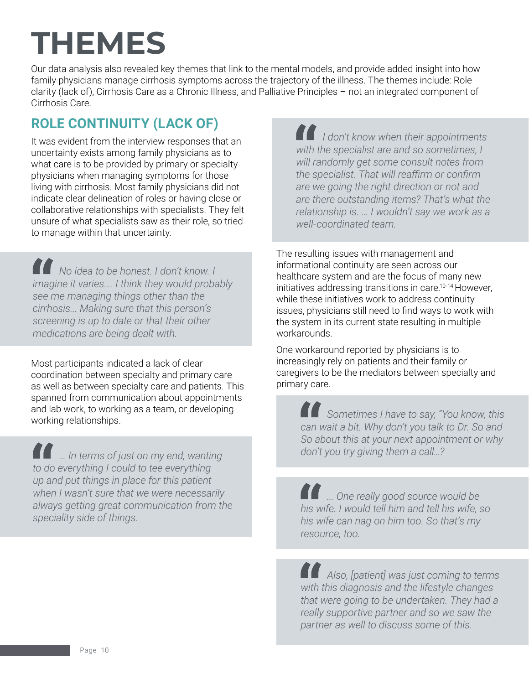## **THEMES**

Our data analysis also revealed key themes that link to the mental models, and provide added insight into how family physicians manage cirrhosis symptoms across the trajectory of the illness. The themes include: Role clarity (lack of), Cirrhosis Care as a Chronic Illness, and Palliative Principles – not an integrated component of Cirrhosis Care.

## **ROLE CONTINUITY (LACK OF)**

It was evident from the interview responses that an uncertainty exists among family physicians as to what care is to be provided by primary or specialty physicians when managing symptoms for those living with cirrhosis. Most family physicians did not indicate clear delineation of roles or having close or collaborative relationships with specialists. They felt unsure of what specialists saw as their role, so tried to manage within that uncertainty.

*No idea to be honest. I don't know. I imagine it varies…. I think they would probably see me managing things other than the cirrhosis... Making sure that this person's screening is up to date or that their other medications are being dealt with.*

Most participants indicated a lack of clear coordination between specialty and primary care as well as between specialty care and patients. This spanned from communication about appointments and lab work, to working as a team, or developing working relationships.

*… In terms of just on my end, wanting to do everything I could to tee everything up and put things in place for this patient when I wasn't sure that we were necessarily always getting great communication from the speciality side of things.*

*I don't know when their appointments with the specialist are and so sometimes, I will randomly get some consult notes from the specialist. That will reaffirm or confirm are we going the right direction or not and are there outstanding items? That's what the relationship is. … I wouldn't say we work as a well-coordinated team.* 

The resulting issues with management and informational continuity are seen across our healthcare system and are the focus of many new initiatives addressing transitions in care.10-14 However, while these initiatives work to address continuity issues, physicians still need to find ways to work with the system in its current state resulting in multiple workarounds.

One workaround reported by physicians is to increasingly rely on patients and their family or caregivers to be the mediators between specialty and primary care.

> *Sometimes I have to say, "You know, this can wait a bit. Why don't you talk to Dr. So and So about this at your next appointment or why don't you try giving them a call…?*

*... One really good source would be his wife. I would tell him and tell his wife, so his wife can nag on him too. So that's my resource, too.*

*Also, [patient] was just coming to terms with this diagnosis and the lifestyle changes that were going to be undertaken. They had a really supportive partner and so we saw the partner as well to discuss some of this.*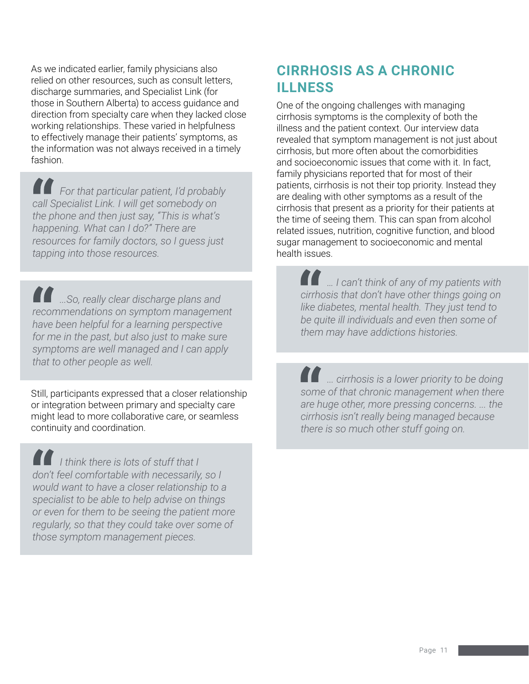As we indicated earlier, family physicians also relied on other resources, such as consult letters, discharge summaries, and Specialist Link (for those in Southern Alberta) to access guidance and direction from specialty care when they lacked close working relationships. These varied in helpfulness to effectively manage their patients' symptoms, as the information was not always received in a timely fashion.

*For that particular patient, I'd probably call Specialist Link. I will get somebody on the phone and then just say, "This is what's happening. What can I do?" There are resources for family doctors, so I guess just tapping into those resources.*

**10 ...So, really clear discharge plans and** *recommendations on symptom management have been helpful for a learning perspective for me in the past, but also just to make sure symptoms are well managed and I can apply that to other people as well.*

Still, participants expressed that a closer relationship or integration between primary and specialty care might lead to more collaborative care, or seamless continuity and coordination.

*I think there is lots of stuff that I don't feel comfortable with necessarily, so I would want to have a closer relationship to a specialist to be able to help advise on things or even for them to be seeing the patient more regularly, so that they could take over some of those symptom management pieces.*

### **CIRRHOSIS AS A CHRONIC ILLNESS**

One of the ongoing challenges with managing cirrhosis symptoms is the complexity of both the illness and the patient context. Our interview data revealed that symptom management is not just about cirrhosis, but more often about the comorbidities and socioeconomic issues that come with it. In fact, family physicians reported that for most of their patients, cirrhosis is not their top priority. Instead they are dealing with other symptoms as a result of the cirrhosis that present as a priority for their patients at the time of seeing them. This can span from alcohol related issues, nutrition, cognitive function, and blood sugar management to socioeconomic and mental health issues.

> *… I can't think of any of my patients with cirrhosis that don't have other things going on like diabetes, mental health. They just tend to be quite ill individuals and even then some of them may have addictions histories.*

*... cirrhosis is a lower priority to be doing some of that chronic management when there are huge other, more pressing concerns. ... the cirrhosis isn't really being managed because there is so much other stuff going on.*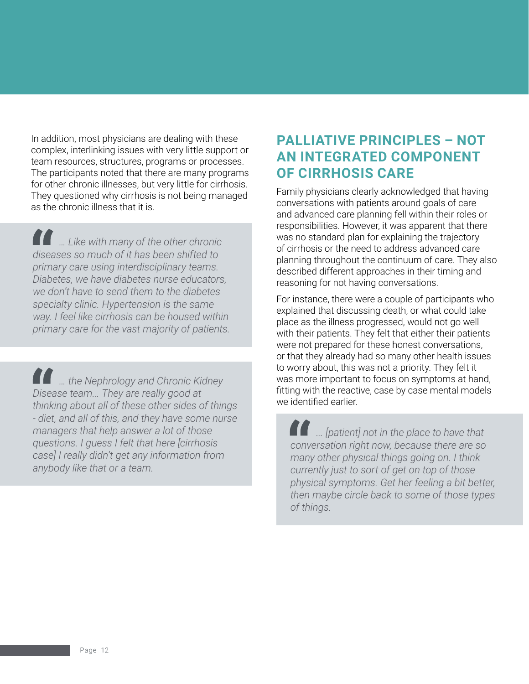In addition, most physicians are dealing with these complex, interlinking issues with very little support or team resources, structures, programs or processes. The participants noted that there are many programs for other chronic illnesses, but very little for cirrhosis. They questioned why cirrhosis is not being managed as the chronic illness that it is.

*… Like with many of the other chronic diseases so much of it has been shifted to primary care using interdisciplinary teams. Diabetes, we have diabetes nurse educators, we don't have to send them to the diabetes specialty clinic. Hypertension is the same way. I feel like cirrhosis can be housed within primary care for the vast majority of patients.*

*… the Nephrology and Chronic Kidney Disease team... They are really good at thinking about all of these other sides of things - diet, and all of this, and they have some nurse managers that help answer a lot of those questions. I guess I felt that here [cirrhosis case] I really didn't get any information from anybody like that or a team.* 

### **PALLIATIVE PRINCIPLES – NOT AN INTEGRATED COMPONENT OF CIRRHOSIS CARE**

Family physicians clearly acknowledged that having conversations with patients around goals of care and advanced care planning fell within their roles or responsibilities. However, it was apparent that there was no standard plan for explaining the trajectory of cirrhosis or the need to address advanced care planning throughout the continuum of care. They also described different approaches in their timing and reasoning for not having conversations.

For instance, there were a couple of participants who explained that discussing death, or what could take place as the illness progressed, would not go well with their patients. They felt that either their patients were not prepared for these honest conversations, or that they already had so many other health issues to worry about, this was not a priority. They felt it was more important to focus on symptoms at hand, fitting with the reactive, case by case mental models we identified earlier.

*... [patient] not in the place to have that conversation right now, because there are so many other physical things going on. I think currently just to sort of get on top of those physical symptoms. Get her feeling a bit better, then maybe circle back to some of those types of things.*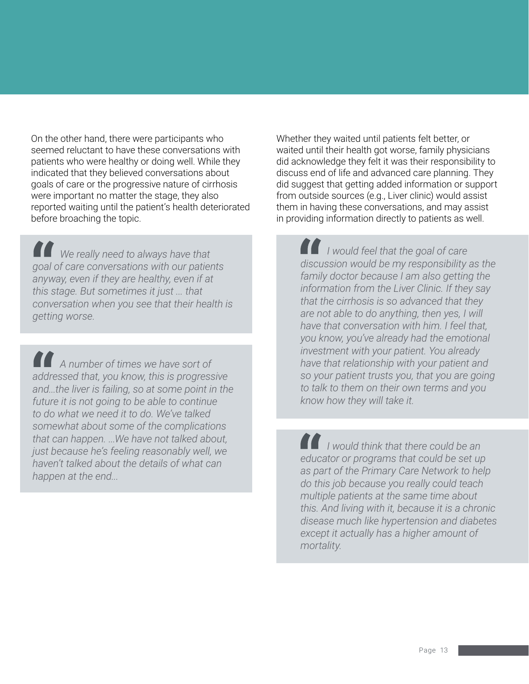On the other hand, there were participants who seemed reluctant to have these conversations with patients who were healthy or doing well. While they indicated that they believed conversations about goals of care or the progressive nature of cirrhosis were important no matter the stage, they also reported waiting until the patient's health deteriorated before broaching the topic.

*We really need to always have that goal of care conversations with our patients anyway, even if they are healthy, even if at this stage. But sometimes it just ... that conversation when you see that their health is getting worse.*

*A number of times we have sort of addressed that, you know, this is progressive and...the liver is failing, so at some point in the future it is not going to be able to continue to do what we need it to do. We've talked somewhat about some of the complications that can happen. ...We have not talked about, just because he's feeling reasonably well, we haven't talked about the details of what can happen at the end...*

Whether they waited until patients felt better, or waited until their health got worse, family physicians did acknowledge they felt it was their responsibility to discuss end of life and advanced care planning. They did suggest that getting added information or support from outside sources (e.g., Liver clinic) would assist them in having these conversations, and may assist in providing information directly to patients as well.

*I would feel that the goal of care discussion would be my responsibility as the family doctor because I am also getting the information from the Liver Clinic. If they say that the cirrhosis is so advanced that they are not able to do anything, then yes, I will have that conversation with him. I feel that, you know, you've already had the emotional investment with your patient. You already have that relationship with your patient and so your patient trusts you, that you are going to talk to them on their own terms and you know how they will take it.* 

*I would think that there could be an educator or programs that could be set up as part of the Primary Care Network to help do this job because you really could teach multiple patients at the same time about this. And living with it, because it is a chronic disease much like hypertension and diabetes except it actually has a higher amount of mortality.*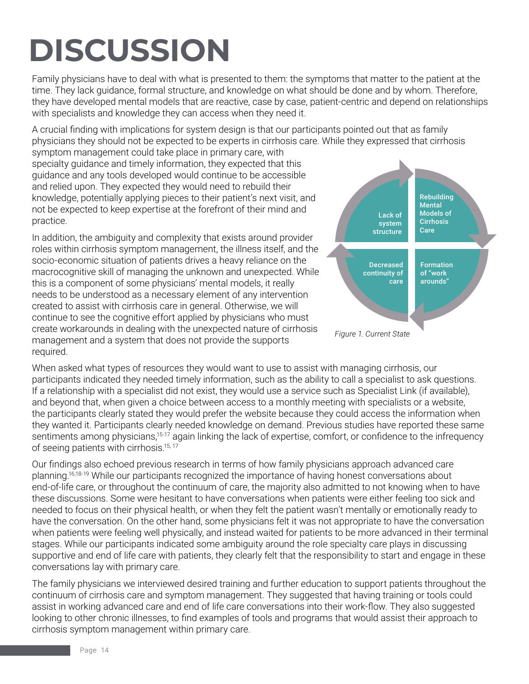## **DISCUSSION**

Family physicians have to deal with what is presented to them: the symptoms that matter to the patient at the time. They lack guidance, formal structure, and knowledge on what should be done and by whom. Therefore, they have developed mental models that are reactive, case by case, patient-centric and depend on relationships with specialists and knowledge they can access when they need it.

A crucial finding with implications for system design is that our participants pointed out that as family physicians they should not be expected to be experts in cirrhosis care. While they expressed that cirrhosis

symptom management could take place in primary care, with specialty guidance and timely information, they expected that this guidance and any tools developed would continue to be accessible and relied upon. They expected they would need to rebuild their knowledge, potentially applying pieces to their patient's next visit, and not be expected to keep expertise at the forefront of their mind and practice.

In addition, the ambiguity and complexity that exists around provider roles within cirrhosis symptom management, the illness itself, and the socio-economic situation of patients drives a heavy reliance on the macrocognitive skill of managing the unknown and unexpected. While this is a component of some physicians' mental models, it really needs to be understood as a necessary element of any intervention created to assist with cirrhosis care in general. Otherwise, we will continue to see the cognitive effort applied by physicians who must create workarounds in dealing with the unexpected nature of cirrhosis management and a system that does not provide the supports required.

When asked what types of resources they would want to use to assist with managing cirrhosis, our participants indicated they needed timely information, such as the ability to call a specialist to ask questions. If a relationship with a specialist did not exist, they would use a service such as Specialist Link (if available), and beyond that, when given a choice between access to a monthly meeting with specialists or a website, the participants clearly stated they would prefer the website because they could access the information when they wanted it. Participants clearly needed knowledge on demand. Previous studies have reported these same sentiments among physicians,<sup>15-17</sup> again linking the lack of expertise, comfort, or confidence to the infrequency of seeing patients with cirrhosis.<sup>15, 17</sup>

Our findings also echoed previous research in terms of how family physicians approach advanced care planning.16,18-19 While our participants recognized the importance of having honest conversations about end-of-life care, or throughout the continuum of care, the majority also admitted to not knowing when to have these discussions. Some were hesitant to have conversations when patients were either feeling too sick and needed to focus on their physical health, or when they felt the patient wasn't mentally or emotionally ready to have the conversation. On the other hand, some physicians felt it was not appropriate to have the conversation when patients were feeling well physically, and instead waited for patients to be more advanced in their terminal stages. While our participants indicated some ambiguity around the role specialty care plays in discussing supportive and end of life care with patients, they clearly felt that the responsibility to start and engage in these conversations lay with primary care.

The family physicians we interviewed desired training and further education to support patients throughout the continuum of cirrhosis care and symptom management. They suggested that having training or tools could assist in working advanced care and end of life care conversations into their work-flow. They also suggested looking to other chronic illnesses, to find examples of tools and programs that would assist their approach to cirrhosis symptom management within primary care.

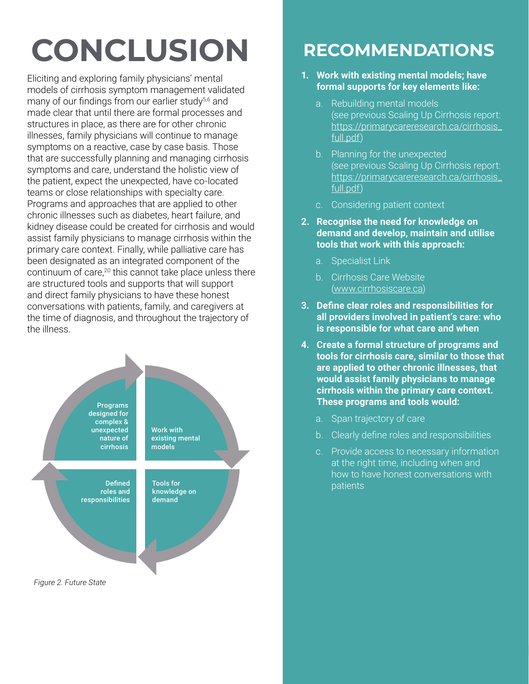## **CONCLUSION**

Eliciting and exploring family physicians' mental models of cirrhosis symptom management validated many of our findings from our earlier study<sup>5,6</sup> and made clear that until there are formal processes and structures in place, as there are for other chronic illnesses, family physicians will continue to manage symptoms on a reactive, case by case basis. Those that are successfully planning and managing cirrhosis symptoms and care, understand the holistic view of the patient, expect the unexpected, have co-located teams or close relationships with specialty care. Programs and approaches that are applied to other chronic illnesses such as diabetes, heart failure, and kidney disease could be created for cirrhosis and would assist family physicians to manage cirrhosis within the primary care context. Finally, while palliative care has been designated as an integrated component of the continuum of care,<sup>20</sup> this cannot take place unless there are structured tools and supports that will support and direct family physicians to have these honest conversations with patients, family, and caregivers at the time of diagnosis, and throughout the trajectory of the illness.



## **RECOMMENDATIONS**

#### **1. Work with existing mental models; have formal supports for key elements like:**

- a. Rebuilding mental models (see previous Scaling Up Cirrhosis report: [https://primarycareresearch.ca/cirrhosis\\_](https://primarycareresearch.ca/cirrhosis_full.pdf) [full.pdf\)](https://primarycareresearch.ca/cirrhosis_full.pdf)
- b. Planning for the unexpected (see previous Scaling Up Cirrhosis report: [https://primarycareresearch.ca/cirrhosis\\_](https://primarycareresearch.ca/cirrhosis_full.pdf) [full.pdf\)](https://primarycareresearch.ca/cirrhosis_full.pdf)
- c. Considering patient context
- **2. Recognise the need for knowledge on demand and develop, maintain and utilise tools that work with this approach:**
	- a. Specialist Link
	- b. Cirrhosis Care Website [\(www.cirrhosiscare.ca](http://www.cirrhosiscare.ca))
- **3. Define clear roles and responsibilities for all providers involved in patient's care: who is responsible for what care and when**
- **4. Create a formal structure of programs and tools for cirrhosis care, similar to those that are applied to other chronic illnesses, that would assist family physicians to manage cirrhosis within the primary care context. These programs and tools would:** 
	- a. Span trajectory of care
	- b. Clearly define roles and responsibilities
	- c. Provide access to necessary information at the right time, including when and how to have honest conversations with patients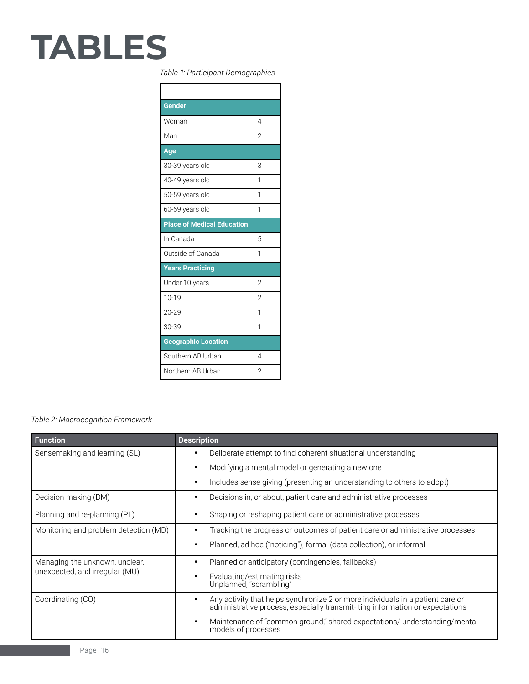# **TABLES**

#### *Table 1: Participant Demographics*

| <b>Gender</b>                     |                |
|-----------------------------------|----------------|
| Woman                             | $\overline{4}$ |
| Man                               | $\overline{2}$ |
| Age                               |                |
| 30-39 years old                   | 3              |
| 40-49 years old                   | 1              |
| 50-59 years old                   | 1              |
| 60-69 years old                   | 1              |
| <b>Place of Medical Education</b> |                |
| In Canada                         | 5              |
| Outside of Canada                 | 1              |
| <b>Years Practicing</b>           |                |
| Under 10 years                    | $\overline{2}$ |
| $10 - 19$                         | $\overline{2}$ |
| 20-29                             | 1              |
| 30-39                             | 1              |
| <b>Geographic Location</b>        |                |
| Southern AB Urban                 | 4              |
| Northern AB Urban                 | $\overline{2}$ |

#### *Table 2: Macrocognition Framework*

| <b>Function</b>                                                  | <b>Description</b>                                                                                                                                                  |
|------------------------------------------------------------------|---------------------------------------------------------------------------------------------------------------------------------------------------------------------|
| Sensemaking and learning (SL)                                    | Deliberate attempt to find coherent situational understanding<br>٠                                                                                                  |
|                                                                  | Modifying a mental model or generating a new one<br>٠                                                                                                               |
|                                                                  | Includes sense giving (presenting an understanding to others to adopt)                                                                                              |
| Decision making (DM)                                             | Decisions in, or about, patient care and administrative processes<br>$\bullet$                                                                                      |
| Planning and re-planning (PL)                                    | Shaping or reshaping patient care or administrative processes                                                                                                       |
| Monitoring and problem detection (MD)                            | Tracking the progress or outcomes of patient care or administrative processes<br>٠                                                                                  |
|                                                                  | Planned, ad hoc ("noticing"), formal (data collection), or informal<br>٠                                                                                            |
| Managing the unknown, unclear,<br>unexpected, and irregular (MU) | Planned or anticipatory (contingencies, fallbacks)<br>٠                                                                                                             |
|                                                                  | Evaluating/estimating risks<br>Unplanned, "scrambling"                                                                                                              |
| Coordinating (CO)                                                | Any activity that helps synchronize 2 or more individuals in a patient care or<br>٠<br>administrative process, especially transmit-ting information or expectations |
|                                                                  | Maintenance of "common ground," shared expectations/ understanding/mental<br>$\bullet$<br>models of processes                                                       |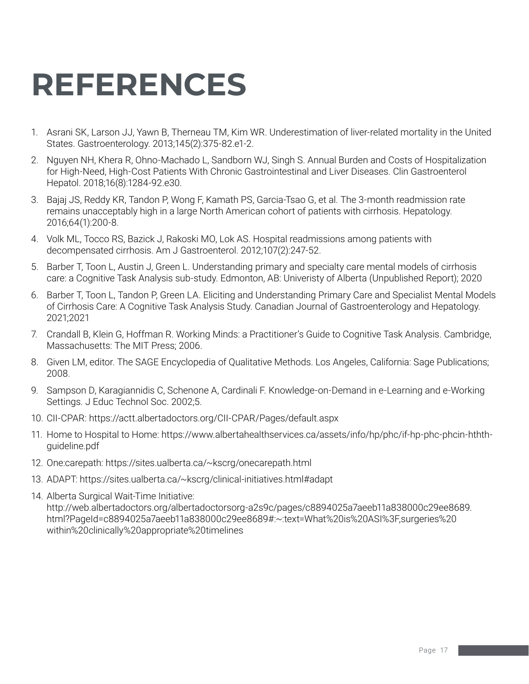## **REFERENCES**

- 1. Asrani SK, Larson JJ, Yawn B, Therneau TM, Kim WR. Underestimation of liver-related mortality in the United States. Gastroenterology. 2013;145(2):375-82.e1-2.
- 2. Nguyen NH, Khera R, Ohno-Machado L, Sandborn WJ, Singh S. Annual Burden and Costs of Hospitalization for High-Need, High-Cost Patients With Chronic Gastrointestinal and Liver Diseases. Clin Gastroenterol Hepatol. 2018;16(8):1284-92.e30.
- 3. Bajaj JS, Reddy KR, Tandon P, Wong F, Kamath PS, Garcia-Tsao G, et al. The 3-month readmission rate remains unacceptably high in a large North American cohort of patients with cirrhosis. Hepatology. 2016;64(1):200-8.
- 4. Volk ML, Tocco RS, Bazick J, Rakoski MO, Lok AS. Hospital readmissions among patients with decompensated cirrhosis. Am J Gastroenterol. 2012;107(2):247-52.
- 5. Barber T, Toon L, Austin J, Green L. Understanding primary and specialty care mental models of cirrhosis care: a Cognitive Task Analysis sub-study. Edmonton, AB: Univeristy of Alberta (Unpublished Report); 2020
- 6. Barber T, Toon L, Tandon P, Green LA. Eliciting and Understanding Primary Care and Specialist Mental Models of Cirrhosis Care: A Cognitive Task Analysis Study. Canadian Journal of Gastroenterology and Hepatology. 2021;2021
- 7. Crandall B, Klein G, Hoffman R. Working Minds: a Practitioner's Guide to Cognitive Task Analysis. Cambridge, Massachusetts: The MIT Press; 2006.
- 8. Given LM, editor. The SAGE Encyclopedia of Qualitative Methods. Los Angeles, California: Sage Publications; 2008.
- 9. Sampson D, Karagiannidis C, Schenone A, Cardinali F. Knowledge-on-Demand in e-Learning and e-Working Settings. J Educ Technol Soc. 2002;5.
- 10. CII-CPAR:<https://actt.albertadoctors.org/CII-CPAR/Pages/default.aspx>
- 11. Home to Hospital to Home: [https://www.albertahealthservices.ca/assets/info/hp/phc/if-hp-phc-phcin-hthth](https://www.albertahealthservices.ca/assets/info/hp/phc/if-hp-phc-phcin-hthth-guideline.pdf)[guideline.pdf](https://www.albertahealthservices.ca/assets/info/hp/phc/if-hp-phc-phcin-hthth-guideline.pdf)
- 12. One:carepath:<https://sites.ualberta.ca/~kscrg/onecarepath.html>
- 13. ADAPT:<https://sites.ualberta.ca/~kscrg/clinical-initiatives.html#adapt>
- 14. Alberta Surgical Wait-Time Initiative: [http://web.albertadoctors.org/albertadoctorsorg-a2s9c/pages/c8894025a7aeeb11a838000c29ee8689.](http://web.albertadoctors.org/albertadoctorsorg-a2s9c/pages/c8894025a7aeeb11a838000c29ee8689.html?PageId=c8894025a7aeeb11a838000c29ee8689#) [html?PageId=c8894025a7aeeb11a838000c29ee8689#](http://web.albertadoctors.org/albertadoctorsorg-a2s9c/pages/c8894025a7aeeb11a838000c29ee8689.html?PageId=c8894025a7aeeb11a838000c29ee8689#):~:text=What%20is%20ASI%3F,surgeries%20 within%20clinically%20appropriate%20timelines